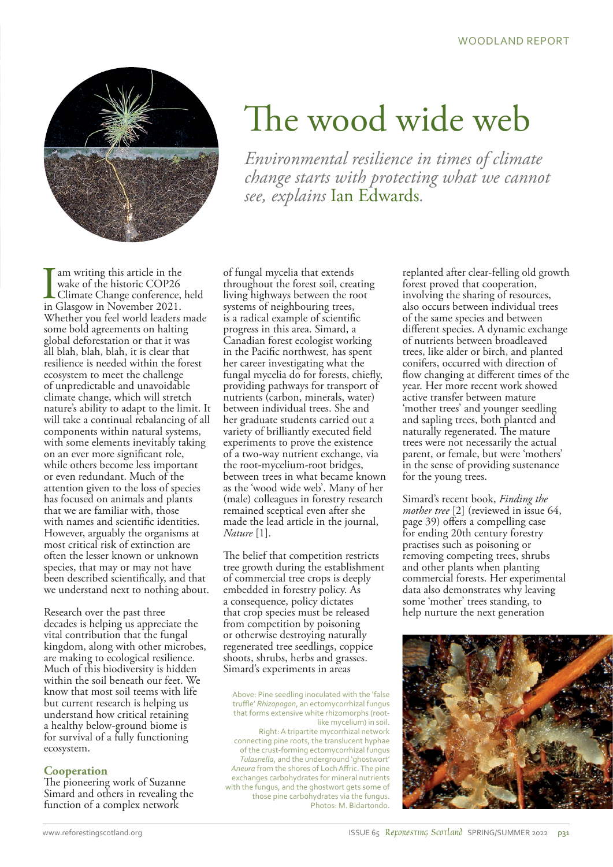

# The wood wide web

*Environmental resilience in times of climate change starts with protecting what we cannot see, explains* Ian Edwards*.*

am writing this article in the wake of the historic COP26 Climate Change conference, held in Glasgow in November 2021. Whether you feel world leaders made some bold agreements on halting global deforestation or that it was all blah, blah, blah, it is clear that resilience is needed within the forest ecosystem to meet the challenge of unpredictable and unavoidable climate change, which will stretch nature's ability to adapt to the limit. It will take a continual rebalancing of all components within natural systems, with some elements inevitably taking on an ever more significant role, while others become less important or even redundant. Much of the attention given to the loss of species has focused on animals and plants that we are familiar with, those with names and scientific identities. However, arguably the organisms at most critical risk of extinction are often the lesser known or unknown species, that may or may not have been described scientifically, and that we understand next to nothing about.

Research over the past three decades is helping us appreciate the vital contribution that the fungal kingdom, along with other microbes, are making to ecological resilience. Much of this biodiversity is hidden within the soil beneath our feet. We know that most soil teems with life but current research is helping us understand how critical retaining a healthy below-ground biome is for survival of a fully functioning ecosystem.

## **Cooperation**

The pioneering work of Suzanne Simard and others in revealing the function of a complex network

of fungal mycelia that extends throughout the forest soil, creating living highways between the root systems of neighbouring trees, is a radical example of scientific progress in this area. Simard, a Canadian forest ecologist working in the Pacific northwest, has spent her career investigating what the fungal mycelia do for forests, chiefly, providing pathways for transport of nutrients (carbon, minerals, water) between individual trees. She and her graduate students carried out a variety of brilliantly executed field experiments to prove the existence of a two-way nutrient exchange, via the root-mycelium-root bridges, between trees in what became known as the 'wood wide web'. Many of her (male) colleagues in forestry research remained sceptical even after she made the lead article in the journal, *Nature* [1].

The belief that competition restricts tree growth during the establishment of commercial tree crops is deeply embedded in forestry policy. As a consequence, policy dictates that crop species must be released from competition by poisoning or otherwise destroying naturally regenerated tree seedlings, coppice shoots, shrubs, herbs and grasses. Simard's experiments in areas

Above: Pine seedling inoculated with the 'false truffle' *Rhizopogon*, an ectomycorrhizal fungus that forms extensive white rhizomorphs (rootlike mycelium) in soil. Right: A tripartite mycorrhizal network connecting pine roots, the translucent hyphae of the crust-forming ectomycorrhizal fungus *Tulasnella*, and the underground 'ghostwort' *Aneura* from the shores of Loch Affric. The pine exchanges carbohydrates for mineral nutrients with the fungus, and the ghostwort gets some of those pine carbohydrates via the fungus. Photos: M. Bidartondo.

replanted after clear-felling old growth forest proved that cooperation, involving the sharing of resources, also occurs between individual trees of the same species and between different species. A dynamic exchange of nutrients between broadleaved trees, like alder or birch, and planted conifers, occurred with direction of flow changing at different times of the year. Her more recent work showed active transfer between mature 'mother trees' and younger seedling and sapling trees, both planted and naturally regenerated. The mature trees were not necessarily the actual parent, or female, but were 'mothers' in the sense of providing sustenance for the young trees.

Simard's recent book, *Finding the mother tree* [2] (reviewed in issue 64, page 39) offers a compelling case for ending 20th century forestry practises such as poisoning or removing competing trees, shrubs and other plants when planting commercial forests. Her experimental data also demonstrates why leaving some 'mother' trees standing, to help nurture the next generation